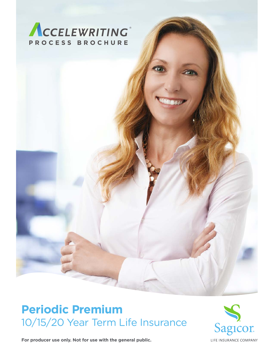

# **Periodic Premium** 10/15/20 Year Term Life Insurance



**For producer use only. Not for use with the general public.**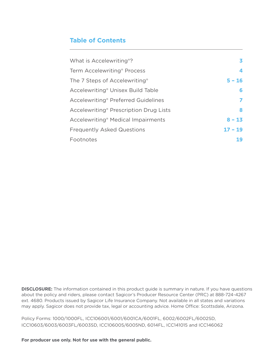### **Table of Contents**

| What is Accelewriting <sup>®</sup> ?               | 3.        |
|----------------------------------------------------|-----------|
| Term Accelewriting <sup>®</sup> Process            | 4         |
| The 7 Steps of Accelewriting <sup>®</sup>          | $5 - 16$  |
| Accelewriting <sup>®</sup> Unisex Build Table      | 6         |
| Accelewriting <sup>®</sup> Preferred Guidelines    |           |
| Accelewriting <sup>®</sup> Prescription Drug Lists | 8         |
| Accelewriting <sup>®</sup> Medical Impairments     | $8 - 13$  |
| <b>Frequently Asked Questions</b>                  | $17 - 19$ |
| Footnotes                                          | 19        |
|                                                    |           |

**DISCLOSURE:** The information contained in this product guide is summary in nature. If you have questions about the policy and riders, please contact Sagicor's Producer Resource Center (PRC) at 888-724-4267 ext. 4680. Products issued by Sagicor Life Insurance Company. Not available in all states and variations may apply. Sagicor does not provide tax, legal or accounting advice. Home Office: Scottsdale, Arizona.

Policy Forms: 1000/1000FL, ICC106001/6001/6001CA/6001FL, 6002/6002FL/6002SD, ICC10603/6003/6003FL/6003SD, ICC106005/6005ND, 6014FL, ICC141015 and ICC146062

**For producer use only. Not for use with the general public.**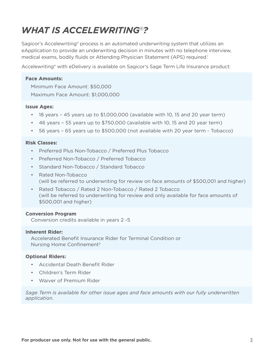# *WHAT IS ACCELEWRITING*®*?*

Sagicor's Accelewriting<sup>®</sup> process is an automated underwriting system that utilizes an eApplication to provide an underwriting decision in minutes with no telephone interview, medical exams, bodily fluids or Attending Physician Statement (APS) required.1

Accelewriting® with eDelivery is available on Sagicor's Sage Term Life Insurance product:

#### **Face Amounts:**

Minimum Face Amount: \$50,000 Maximum Face Amount: \$1,000,000

#### **Issue Ages:**

- 18 years 45 years up to \$1,000,000 (available with 10, 15 and 20 year term)
- 46 years 55 years up to \$750,000 (available with 10, 15 and 20 year term)
- 56 years 65 years up to \$500,000 (not available with 20 year term Tobacco)

#### **Risk Classes:**

- Preferred Plus Non-Tobacco / Preferred Plus Tobacco
- Preferred Non-Tobacco / Preferred Tobacco
- Standard Non-Tobacco / Standard Tobacco
- Rated Non-Tobacco (will be referred to underwriting for review on face amounts of \$500,001 and higher)
- Rated Tobacco / Rated 2 Non-Tobacco / Rated 2 Tobacco (will be referred to underwriting for review and only available for face amounts of \$500,001 and higher)

#### **Conversion Program**

Conversion credits available in years 2 -5

#### **Inherent Rider:**

Accelerated Benefit Insurance Rider for Terminal Condition or Nursing Home Confinement2

#### **Optional Riders:**

- Accidental Death Benefit Rider
- Children's Term Rider
- Waiver of Premium Rider

*Sage Term is available for other issue ages and face amounts with our fully underwritten application.*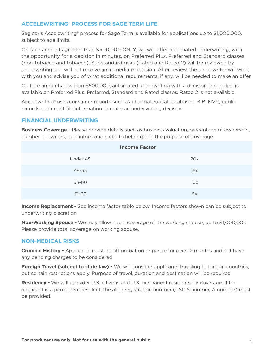### **ACCELEWRITING**® **PROCESS FOR SAGE TERM LIFE**

Sagicor's Accelewriting® process for Sage Term is available for applications up to \$1,000,000, subject to age limits.

On face amounts greater than \$500,000 ONLY, we will offer automated underwriting, with the opportunity for a decision in minutes, on Preferred Plus, Preferred and Standard classes (non-tobacco and tobacco). Substandard risks (Rated and Rated 2) will be reviewed by underwriting and will not receive an immediate decision. After review, the underwriter will work with you and advise you of what additional requirements, if any, will be needed to make an offer.

On face amounts less than \$500,000, automated underwriting with a decision in minutes, is available on Preferred Plus. Preferred, Standard and Rated classes. Rated 2 is not available.

Accelewriting® uses consumer reports such as pharmaceutical databases, MIB, MVR, public records and credit file information to make an underwriting decision.

### **FINANCIAL UNDERWRITING**

**Business Coverage -** Please provide details such as business valuation, percentage of ownership, number of owners, loan information, etc. to help explain the purpose of coverage.

| <b>Income Factor</b> |     |  |  |  |
|----------------------|-----|--|--|--|
| Under 45             | 20x |  |  |  |
| 46-55                | 15x |  |  |  |
| 56-60                | 10x |  |  |  |
| 61-65                | 5x  |  |  |  |

**Income Replacement -** See income factor table below. Income factors shown can be subject to underwriting discretion.

**Non-Working Spouse -** We may allow equal coverage of the working spouse, up to \$1,000,000. Please provide total coverage on working spouse.

#### **NON-MEDICAL RISKS**

**Criminal History -** Applicants must be off probation or parole for over 12 months and not have any pending charges to be considered.

**Foreign Travel (subject to state law) -** We will consider applicants traveling to foreign countries, but certain restrictions apply. Purpose of travel, duration and destination will be required.

**Residency -** We will consider U.S. citizens and U.S. permanent residents for coverage. If the applicant is a permanent resident, the alien registration number (USCIS number, A number) must be provided.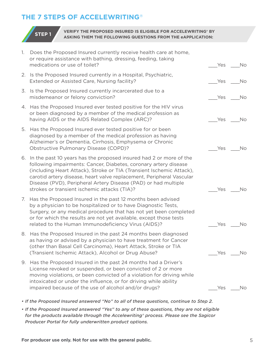### **THE 7 STEPS OF ACCELEWRITING**®



#### **STEP 1 VERIFY THE PROPOSED INSURED IS ELIGIBLE FOR ACCELEWRITING® BY ASKING THEM THE FOLLOWING QUESTIONS FROM THE eAPPLICATION:**

| 1. | Does the Proposed Insured currently receive health care at home,<br>or require assistance with bathing, dressing, feeding, taking<br>medications or use of toilet?                                                                                                                                                                                                                                          | Yes | No        |
|----|-------------------------------------------------------------------------------------------------------------------------------------------------------------------------------------------------------------------------------------------------------------------------------------------------------------------------------------------------------------------------------------------------------------|-----|-----------|
|    | 2. Is the Proposed Insured currently in a Hospital, Psychiatric,<br>Extended or Assisted Care, Nursing facility?                                                                                                                                                                                                                                                                                            | Yes | No        |
|    | 3. Is the Proposed Insured currently incarcerated due to a<br>misdemeanor or felony conviction?                                                                                                                                                                                                                                                                                                             | Yes | <b>No</b> |
|    | 4. Has the Proposed Insured ever tested positive for the HIV virus<br>or been diagnosed by a member of the medical profession as<br>having AIDS or the AIDS Related Complex (ARC)?                                                                                                                                                                                                                          | Yes | No        |
|    | 5. Has the Proposed Insured ever tested positive for or been<br>diagnosed by a member of the medical profession as having<br>Alzheimer's or Dementia, Cirrhosis, Emphysema or Chronic<br>Obstructive Pulmonary Disease (COPD)?                                                                                                                                                                              | Yes | No        |
|    | 6. In the past 10 years has the proposed insured had 2 or more of the<br>following impairments: Cancer, Diabetes, coronary artery disease<br>(including Heart Attack), Stroke or TIA (Transient Ischemic Attack),<br>carotid artery disease, heart valve replacement, Peripheral Vascular<br>Disease (PVD), Peripheral Artery Disease (PAD) or had multiple<br>strokes or transient ischemic attacks (TIA)? | Yes | No        |
| 7. | Has the Proposed Insured in the past 12 months been advised<br>by a physician to be hospitalized or to have Diagnostic Tests,<br>Surgery, or any medical procedure that has not yet been completed<br>or for which the results are not yet available, except those tests<br>related to the Human Immunodeficiency Virus (AIDS)?                                                                             | Yes | No        |
|    | 8. Has the Proposed Insured in the past 24 months been diagnosed<br>as having or advised by a physician to have treatment for Cancer<br>(other than Basal Cell Carcinoma), Heart Attack, Stroke or TIA<br>(Transient Ischemic Attack), Alcohol or Drug Abuse?                                                                                                                                               |     | Yes No    |
| 9. | Has the Proposed Insured in the past 24 months had a Driver's<br>License revoked or suspended, or been convicted of 2 or more<br>moving violations, or been convicted of a violation for driving while<br>intoxicated or under the influence, or for driving while ability<br>impaired because of the use of alcohol and/or drugs?                                                                          | Yes | No        |
|    |                                                                                                                                                                                                                                                                                                                                                                                                             |     |           |

- *• If the Proposed Insured answered "No" to all of these questions, continue to Step 2.*
- *• If the Proposed Insured answered "Yes" to any of these questions, they are not eligible for the products available through the Accelewriting® process. Please see the Sagicor Producer Portal for fully underwritten product options.*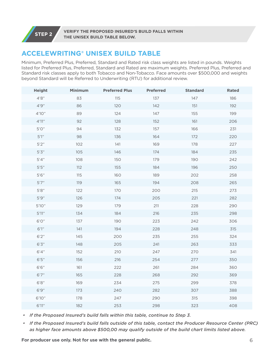**STEP 2 VERIFY THE PROPOSED INSURED'S BUILD FALLS WITHIN THE UNISEX BUILD TABLE BELOW.**

### **ACCELEWRITING® UNISEX BUILD TABLE**

Minimum, Preferred Plus, Preferred, Standard and Rated risk class weights are listed in pounds. Weights listed for Preferred Plus, Preferred, Standard and Rated are maximum weights. Preferred Plus, Preferred and Standard risk classes apply to both Tobacco and Non-Tobacco. Face amounts over \$500,000 and weights beyond Standard will be Referred to Underwriting (RTU) for additional review.

| <b>Height</b> | <b>Minimum</b> | <b>Preferred Plus</b> | <b>Preferred</b> | <b>Standard</b> | <b>Rated</b> |
|---------------|----------------|-----------------------|------------------|-----------------|--------------|
| 4'8''         | 83             | 115                   | 137              | 147             | 186          |
| $4'9''$       | 86             | 120                   | 142              | 151             | 192          |
| 4'10''        | 89             | 124                   | 147              | 155             | 199          |
| 4'11''        | 92             | 128                   | 152              | 161             | 206          |
| $5'0''$       | 94             | 132                   | 157              | 166             | 231          |
| 5'1''         | 98             | 136                   | 164              | 172             | 220          |
| 5'2''         | 102            | 141                   | 169              | 178             | 227          |
| 5'3''         | 105            | 146                   | 174              | 184             | 235          |
| 5'4''         | 108            | 150                   | 179              | 190             | 242          |
| 5'5''         | 112            | 155                   | 184              | 196             | 250          |
| 5'6''         | 115            | 160                   | 189              | 202             | 258          |
| 5'7''         | 119            | 165                   | 194              | 208             | 265          |
| $5'8"$        | 122            | 170                   | 200              | 215             | 273          |
| 5'9"          | 126            | 174                   | 205              | 221             | 282          |
| 5'10''        | 129            | 179                   | 211              | 228             | 290          |
| 5'11''        | 134            | 184                   | 216              | 235             | 298          |
| 6'0''         | 137            | 190                   | 223              | 242             | 306          |
| 6'1''         | 141            | 194                   | 228              | 248             | 315          |
| 6'2''         | 145            | 200                   | 235              | 255             | 324          |
| 6'3''         | 148            | 205                   | 241              | 263             | 333          |
| 6'4''         | 152            | 210                   | 247              | 270             | 341          |
| 6'5''         | 156            | 216                   | 254              | 277             | 350          |
| 6'6''         | 161            | 222                   | 261              | 284             | 360          |
| 6'7''         | 165            | 228                   | 268              | 292             | 369          |
| 6'8''         | 169            | 234                   | 275              | 299             | 378          |
| 6'9''         | 173            | 240                   | 282              | 307             | 388          |
| 6'10''        | 178            | 247                   | 290              | 315             | 398          |
| 6'11''        | 182            | 253                   | 298              | 323             | 408          |

*• If the Proposed Insured's build falls within this table, continue to Step 3.*

*• If the Proposed Insured's build falls outside of this table, contact the Producer Resource Center (PRC) as higher face amounts above \$500,00 may qualify outside of the build chart limits listed above.* 

**For producer use only. Not for use with the general public.** 6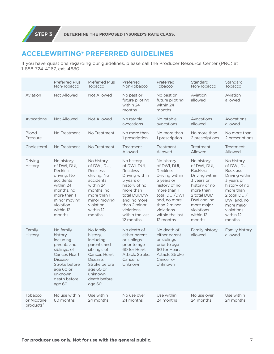### **ACCELEWRITING® PREFERRED GUIDELINES**

If you have questions regarding our guidelines, please call the Producer Resource Center (PRC) at 1-888-724-4267, ext. 4680.

|                                        | <b>Preferred Plus</b><br>Non-Tobacco                                                                                                                                    | <b>Preferred Plus</b><br>Tobacco                                                                                                                                        | Preferred<br>Non-Tobacco                                                                                                                                                                                     | Preferred<br>Tobacco                                                                                                                                                                                         | Standard<br>Non-Tobacco                                                                                                                                                                       | Standard<br>Tobacco                                                                                                                                                                             |
|----------------------------------------|-------------------------------------------------------------------------------------------------------------------------------------------------------------------------|-------------------------------------------------------------------------------------------------------------------------------------------------------------------------|--------------------------------------------------------------------------------------------------------------------------------------------------------------------------------------------------------------|--------------------------------------------------------------------------------------------------------------------------------------------------------------------------------------------------------------|-----------------------------------------------------------------------------------------------------------------------------------------------------------------------------------------------|-------------------------------------------------------------------------------------------------------------------------------------------------------------------------------------------------|
| Aviation                               | Not Allowed                                                                                                                                                             | Not Allowed                                                                                                                                                             | No past or<br>future piloting<br>within 24<br>months                                                                                                                                                         | No past or<br>future piloting<br>within 24<br>months                                                                                                                                                         | Aviation<br>allowed                                                                                                                                                                           | Aviation<br>allowed                                                                                                                                                                             |
| Avocations                             | Not Allowed                                                                                                                                                             | Not Allowed                                                                                                                                                             | No ratable<br>avocations                                                                                                                                                                                     | No ratable<br>avocations                                                                                                                                                                                     | Avocations<br>allowed                                                                                                                                                                         | Avocations<br>allowed                                                                                                                                                                           |
| <b>Blood</b><br>Pressure               | No Treatment                                                                                                                                                            | No Treatment                                                                                                                                                            | No more than<br>1 prescription                                                                                                                                                                               | No more than<br>1 prescription                                                                                                                                                                               | No more than<br>2 prescriptions                                                                                                                                                               | No more than<br>2 prescriptions                                                                                                                                                                 |
| Cholesterol                            | No Treatment                                                                                                                                                            | No Treatment                                                                                                                                                            | Treatment<br>Allowed                                                                                                                                                                                         | Treatment<br>Allowed                                                                                                                                                                                         | Treatment<br>Allowed                                                                                                                                                                          | Treatment<br>Allowed                                                                                                                                                                            |
| Driving<br><b>History</b>              | No history<br>of DWI, DUI,<br><b>Reckless</b><br>driving; No<br>accidents<br>within 24<br>months, no<br>more than 1<br>minor moving<br>violation<br>within 12<br>months | No history<br>of DWI, DUI,<br><b>Reckless</b><br>driving; No<br>accidents<br>within 24<br>months, no<br>more than 1<br>minor moving<br>violation<br>within 12<br>months | No history<br>of DWI, DUI,<br><b>Reckless</b><br>Driving within<br>5 years or<br>history of no<br>more than 1<br>total DUI/DWI<br>and, no more<br>than 2 minor<br>violations<br>within the last<br>12 months | No history<br>of DWI, DUI,<br><b>Reckless</b><br>Driving within<br>5 years or<br>history of no<br>more than 1<br>total DUI/DWI<br>and, no more<br>than 2 minor<br>violations<br>within the last<br>12 months | No history<br>of DWI, DUI,<br><b>Reckless</b><br>Driving within<br>3 years or<br>history of no<br>more than<br>2 total DUI/<br>DWI and, no<br>more major<br>violations<br>within 12<br>months | No history<br>of DWI, DUI,<br><b>Reckless</b><br>Driving within<br>3 years or<br>history of no<br>more than<br>2 total $DUI/$<br>DWI and, no<br>more major<br>violations<br>within 12<br>months |
| Family<br><b>History</b>               | No family<br>history,<br>including<br>parents and<br>siblings, of<br>Cancer, Heart<br>Disease.<br>Stroke before<br>age 60 or<br>unknown<br>death before<br>age 60       | No family<br>history,<br>including<br>parents and<br>siblings, of<br>Cancer, Heart<br>Disease.<br>Stroke before<br>age 60 or<br>unknown<br>death before<br>age 60       | No death of<br>either parent<br>or siblings<br>prior to age<br>60 for Heart<br>Attack, Stroke,<br>Cancer or<br>Unknown                                                                                       | No death of<br>either parent<br>or siblings<br>prior to age<br>60 for Heart<br>Attack, Stroke,<br>Cancer or<br>Unknown                                                                                       | Family history<br>allowed                                                                                                                                                                     | Family history<br>allowed                                                                                                                                                                       |
| Tobacco<br>or Nicotine<br>products $3$ | No use within<br>60 months                                                                                                                                              | Use within<br>24 months                                                                                                                                                 | No use over<br>24 months                                                                                                                                                                                     | Use within<br>24 months                                                                                                                                                                                      | No use over<br>24 months                                                                                                                                                                      | Use within<br>24 months                                                                                                                                                                         |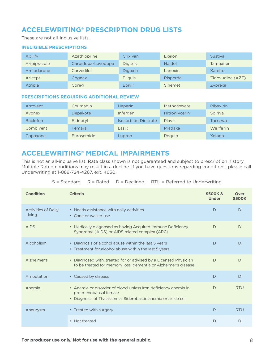### **ACCELEWRITING® PRESCRIPTION DRUG LISTS**

These are not all-inclusive lists.

#### **INELIGIBLE PRESCRIPTIONS**

| Abilify      | Azathioprine       | Crixivan       | Exelon    | <b>Sustiva</b>   |
|--------------|--------------------|----------------|-----------|------------------|
| Aripiprazole | Carbidopa-Levodopa | <b>Digitek</b> | Haldol    | <b>Tamoxifen</b> |
| Amiodarone   | Carvedilol         | <b>Digoxin</b> | Lanoxin   | Xarelto          |
| Aricept      | Cognex             | <b>Eliquis</b> | Risperdal | Zidovudine (AZT) |
| Atripla      | Coreg              | Epivir         | Sinemet   | Zyprexa          |

#### **PRESCRIPTIONS REQUIRING ADDITIONAL REVIEW**

| Atrovent        | Coumadin          | <b>Heparin</b>       | Methotrexate  | <b>Ribavirin</b> |
|-----------------|-------------------|----------------------|---------------|------------------|
| Avonex          | Depakote          | Infergen             | Nitroglycerin | Spiriva          |
| <b>Baclofen</b> | Eldepryl          | Isosorbide Dinitrate | Plavix        | Tarceva          |
| Combivent       | Femara            | Lasix                | Pradaxa       | Warfarin         |
| Copaxone        | <b>Furosemide</b> | Lupron               | Requip        | Xeloda           |

### **ACCELEWRITING® MEDICAL IMPAIRMENTS**

This is not an all-inclusive list. Rate class shown is not guaranteed and subject to prescription history. Multiple Rated conditions may result in a decline. If you have questions regarding conditions, please call Underwriting at 1-888-724-4267, ext. 4650.

|  |  |  | $S =$ Standard $R =$ Rated $D =$ Declined RTU = Referred to Underwriting |
|--|--|--|--------------------------------------------------------------------------|
|--|--|--|--------------------------------------------------------------------------|

| <b>Condition</b>                     | <b>Criteria</b>                                                                                                                                                      | \$500K &<br><b>Under</b> | Over<br><b>\$500K</b> |
|--------------------------------------|----------------------------------------------------------------------------------------------------------------------------------------------------------------------|--------------------------|-----------------------|
| <b>Activities of Daily</b><br>Living | • Needs assistance with daily activities<br>• Cane or walker use                                                                                                     | D                        | D                     |
| <b>AIDS</b>                          | • Medically diagnosed as having Acquired Immune Deficiency<br>Syndrome (AIDS) or AIDS related complex (ARC)                                                          | $\Box$                   | D                     |
| Alcoholism                           | • Diagnosis of alcohol abuse within the last 5 years<br>• Treatment for alcohol abuse within the last 5 years                                                        | D                        | D                     |
| Alzheimer's                          | • Diagnosed with, treated for or advised by a Licensed Physician<br>to be treated for memory loss, dementia or Alzheimer's disease                                   | $\bigcap$                | $\bigcap$             |
| Amputation                           | • Caused by disease                                                                                                                                                  | D                        | $\bigcap$             |
| Anemia                               | • Anemia or disorder of blood-unless iron deficiency anemia in<br>pre-menopausal female<br>Diagnosis of Thalassemia, Siderobastic anemia or sickle cell<br>$\bullet$ | D                        | <b>RTU</b>            |
| Aneurysm                             | • Treated with surgery                                                                                                                                               | R                        | <b>RTU</b>            |
|                                      | Not treated<br>$\bullet$                                                                                                                                             | D                        | $\mathsf{D}$          |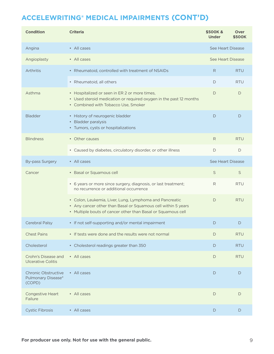| <b>Condition</b>                                                       | <b>Criteria</b>                                                                                                                                                                          | \$500K &<br><b>Under</b> | Over<br><b>\$500K</b> |
|------------------------------------------------------------------------|------------------------------------------------------------------------------------------------------------------------------------------------------------------------------------------|--------------------------|-----------------------|
| Angina                                                                 | • All cases                                                                                                                                                                              | See Heart Disease        |                       |
| Angioplasty                                                            | • All cases                                                                                                                                                                              | See Heart Disease        |                       |
| Arthritis                                                              | • Rheumatoid, controlled with treatment of NSAIDs                                                                                                                                        | R.                       | <b>RTU</b>            |
|                                                                        | • Rheumatoid, all others                                                                                                                                                                 | D                        | <b>RTU</b>            |
| Asthma                                                                 | • Hospitalized or seen in ER 2 or more times,<br>• Used steroid medication or required oxygen in the past 12 months<br>• Combined with Tobacco Use, Smoker                               | D                        | D                     |
| <b>Bladder</b>                                                         | • History of neurogenic bladder<br>• Bladder paralysis<br>• Tumors, cysts or hospitalizations                                                                                            | D                        | D                     |
| <b>Blindness</b>                                                       | • Other causes                                                                                                                                                                           | R                        | <b>RTU</b>            |
|                                                                        | • Caused by diabetes, circulatory disorder, or other illness                                                                                                                             | D                        | D                     |
| <b>By-pass Surgery</b>                                                 | • All cases                                                                                                                                                                              | See Heart Disease        |                       |
| Cancer                                                                 | • Basal or Squamous cell                                                                                                                                                                 | S                        | S                     |
|                                                                        | • 6 years or more since surgery, diagnosis, or last treatment;<br>no recurrence or additional occurrence                                                                                 | R                        | <b>RTU</b>            |
|                                                                        | • Colon, Leukemia, Liver, Lung, Lymphoma and Pancreatic<br>• Any cancer other than Basal or Squamous cell within 5 years<br>• Multiple bouts of cancer other than Basal or Squamous cell | D                        | <b>RTU</b>            |
| Cerebral Palsy                                                         | • If not self-supporting and/or mental impairment                                                                                                                                        | D                        | D                     |
| <b>Chest Pains</b>                                                     | • If tests were done and the results were not normal                                                                                                                                     | D                        | <b>RTU</b>            |
| Cholesterol                                                            | • Cholesterol readings greater than 350                                                                                                                                                  | D                        | <b>RTU</b>            |
| Crohn's Disease and<br><b>Ulcerative Colitis</b>                       | • All cases                                                                                                                                                                              | D                        | <b>RTU</b>            |
| <b>Chronic Obstructive</b><br>Pulmonary Disease <sup>4</sup><br>(COPD) | • All cases                                                                                                                                                                              | D                        | D                     |
| Congestive Heart<br>Failure                                            | • All cases                                                                                                                                                                              | D                        | D                     |
| <b>Cystic Fibrosis</b>                                                 | • All cases                                                                                                                                                                              | D                        | D                     |

For producer use only. Not for use with the general public. **For producer use only.** Not for use with the general public.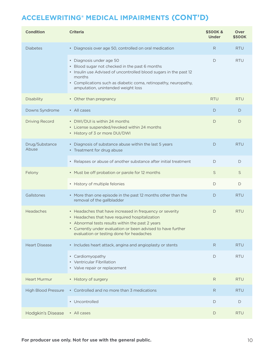| <b>Condition</b>           | <b>Criteria</b>                                                                                                                                                                                                                                                            | \$500K &<br><b>Under</b> | Over<br><b>\$500K</b> |
|----------------------------|----------------------------------------------------------------------------------------------------------------------------------------------------------------------------------------------------------------------------------------------------------------------------|--------------------------|-----------------------|
| <b>Diabetes</b>            | • Diagnosis over age 50, controlled on oral medication                                                                                                                                                                                                                     | R                        | <b>RTU</b>            |
|                            | • Diagnosis under age 50<br>• Blood sugar not checked in the past 6 months<br>• Insulin use Advised of uncontrolled blood sugars in the past 12<br>months<br>• Complications such as diabetic coma, retinopathy, neuropathy,<br>amputation, unintended weight loss         | D                        | <b>RTU</b>            |
| <b>Disability</b>          | • Other than pregnancy                                                                                                                                                                                                                                                     | <b>RTU</b>               | <b>RTU</b>            |
| Downs Syndrome             | • All cases                                                                                                                                                                                                                                                                | D                        | D                     |
| <b>Driving Record</b>      | • DWI/DUI is within 24 months<br>• License suspended/revoked within 24 months<br>• History of 3 or more DUI/DWI                                                                                                                                                            | D                        | D                     |
| Drug/Substance<br>Abuse    | • Diagnosis of substance abuse within the last 5 years<br>• Treatment for drug abuse                                                                                                                                                                                       | D                        | <b>RTU</b>            |
|                            | • Relapses or abuse of another substance after initial treatment                                                                                                                                                                                                           | D                        | D                     |
| Felony                     | • Must be off probation or parole for 12 months                                                                                                                                                                                                                            | $\mathsf S$              | S                     |
|                            | • History of multiple felonies                                                                                                                                                                                                                                             | D                        | D                     |
| Gallstones                 | • More than one episode in the past 12 months other than the<br>removal of the gallbladder                                                                                                                                                                                 | D                        | <b>RTU</b>            |
| Headaches                  | • Headaches that have increased in frequency or severity<br>• Headaches that have required hospitalization<br>• Abnormal tests results within the past 2 years<br>• Currently under evaluation or been advised to have further<br>evaluation or testing done for headaches | D                        | <b>RTU</b>            |
| <b>Heart Disease</b>       | • Includes heart attack, angina and angioplasty or stents                                                                                                                                                                                                                  | R.                       | <b>RTU</b>            |
|                            | • Cardiomyopathy<br>• Ventricular Fibrillation<br>• Valve repair or replacement                                                                                                                                                                                            | D                        | <b>RTU</b>            |
| <b>Heart Murmur</b>        | • History of surgery                                                                                                                                                                                                                                                       | R                        | <b>RTU</b>            |
| <b>High Blood Pressure</b> | • Controlled and no more than 3 medications                                                                                                                                                                                                                                | R                        | <b>RTU</b>            |
|                            | • Uncontrolled                                                                                                                                                                                                                                                             | D                        | D                     |
| <b>Hodgkin's Disease</b>   | • All cases                                                                                                                                                                                                                                                                | D                        | <b>RTU</b>            |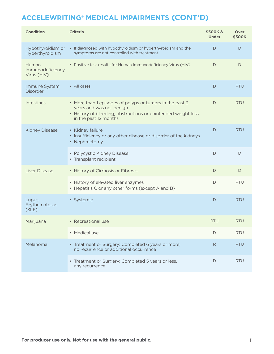| <b>Condition</b>                         | <b>Criteria</b>                                                                                                                                                                | \$500K &<br><b>Under</b> | Over<br><b>\$500K</b> |
|------------------------------------------|--------------------------------------------------------------------------------------------------------------------------------------------------------------------------------|--------------------------|-----------------------|
| Hypothyroidism or<br>Hyperthyroidism     | • If diagnosed with hypothyroidism or hyperthyroidism and the<br>symptoms are not controlled with treatment                                                                    | D                        | D                     |
| Human<br>Immunodeficiency<br>Virus (HIV) | • Positive test results for Human Immunodeficiency Virus (HIV)                                                                                                                 | D                        | D                     |
| Immune System<br><b>Disorder</b>         | • All cases                                                                                                                                                                    | D                        | <b>RTU</b>            |
| Intestines                               | • More than 1 episodes of polyps or tumors in the past 3<br>years and was not benign<br>• History of bleeding, obstructions or unintended weight loss<br>in the past 12 months | D                        | <b>RTU</b>            |
| <b>Kidney Disease</b>                    | • Kidney failure<br>• Insufficiency or any other disease or disorder of the kidneys<br>• Nephrectomy                                                                           | D                        | <b>RTU</b>            |
|                                          | • Polycystic Kidney Disease<br>• Transplant recipient                                                                                                                          | D                        | D                     |
| <b>Liver Disease</b>                     | • History of Cirrhosis or Fibrosis                                                                                                                                             | D                        | D                     |
|                                          | • History of elevated liver enzymes<br>• Hepatitis C or any other forms (except A and B)                                                                                       | D                        | <b>RTU</b>            |
| Lupus<br>Erythematosus<br>(SLE)          | • Systemic                                                                                                                                                                     | D                        | <b>RTU</b>            |
| Marijuana                                | • Recreational use                                                                                                                                                             | <b>RTU</b>               | <b>RTU</b>            |
|                                          | • Medical use                                                                                                                                                                  | D                        | <b>RTU</b>            |
| Melanoma                                 | • Treatment or Surgery: Completed 6 years or more,<br>no recurrence or additional occurrence                                                                                   | R                        | <b>RTU</b>            |
|                                          | • Treatment or Surgery: Completed 5 years or less,<br>any recurrence                                                                                                           | D                        | <b>RTU</b>            |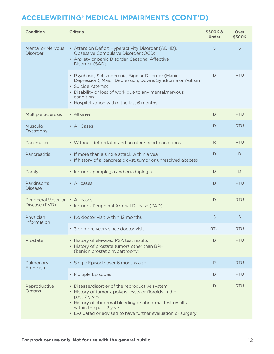| <b>Condition</b>                            | <b>Criteria</b>                                                                                                                                                                                                                                                              | \$500K &<br><b>Under</b> | Over<br>\$500K |
|---------------------------------------------|------------------------------------------------------------------------------------------------------------------------------------------------------------------------------------------------------------------------------------------------------------------------------|--------------------------|----------------|
| <b>Mental or Nervous</b><br><b>Disorder</b> | • Attention Deficit Hyperactivity Disorder (ADHD),<br>Obsessive Compulsive Disorder (OCD)<br>• Anxiety or panic Disorder, Seasonal Affective<br>Disorder (SAD)                                                                                                               | S                        | S              |
|                                             | · Psychosis, Schizophrenia, Bipolar Disorder (Manic<br>Depression), Major Depression, Downs Syndrome or Autism<br>· Suicide Attempt<br>• Disability or loss of work due to any mental/nervous<br>condition<br>• Hospitalization within the last 6 months                     | D                        | <b>RTU</b>     |
| <b>Multiple Sclerosis</b>                   | • All cases                                                                                                                                                                                                                                                                  | D                        | <b>RTU</b>     |
| Muscular<br><b>Dystrophy</b>                | • All Cases                                                                                                                                                                                                                                                                  | D                        | <b>RTU</b>     |
| Pacemaker                                   | • Without defibrillator and no other heart conditions                                                                                                                                                                                                                        | R                        | <b>RTU</b>     |
| Pancreatitis                                | • If more than a single attack within a year<br>• If history of a pancreatic cyst, tumor or unresolved abscess                                                                                                                                                               | D                        | D              |
| Paralysis                                   | • Includes paraplegia and quadriplegia                                                                                                                                                                                                                                       | D                        | D              |
| Parkinson's<br><b>Disease</b>               | • All cases                                                                                                                                                                                                                                                                  | D                        | <b>RTU</b>     |
| Peripheral Vascular<br>Disease (PVD)        | • All cases<br>• Includes Peripheral Arterial Disease (PAD)                                                                                                                                                                                                                  | D                        | <b>RTU</b>     |
| Physician<br>Information                    | • No doctor visit within 12 months                                                                                                                                                                                                                                           | S                        | S              |
|                                             | • 3 or more years since doctor visit                                                                                                                                                                                                                                         | <b>RTU</b>               | RTU            |
| Prostate                                    | • History of elevated PSA test results<br>• History of prostate tumors other than BPH<br>(benign prostatic hypertrophy)                                                                                                                                                      | D                        | <b>RTU</b>     |
| Pulmonary<br>Embolism                       | • Single Episode over 6 months ago                                                                                                                                                                                                                                           | R.                       | <b>RTU</b>     |
|                                             | • Multiple Episodes                                                                                                                                                                                                                                                          | D                        | <b>RTU</b>     |
| Reproductive<br>Organs                      | • Disease/disorder of the reproductive system<br>• History of tumors, polyps, cysts or fibroids in the<br>past 2 years<br>• History of abnormal bleeding or abnormal test results<br>within the past 2 years<br>• Evaluated or advised to have further evaluation or surgery | D                        | <b>RTU</b>     |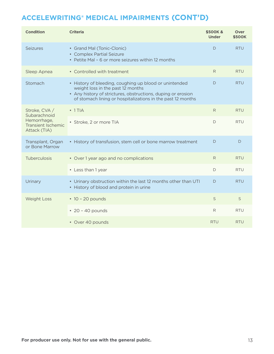| <b>Condition</b>                                                                          | <b>Criteria</b>                                                                                                                                                                                                            | \$500K &<br><b>Under</b> | Over<br><b>\$500K</b> |
|-------------------------------------------------------------------------------------------|----------------------------------------------------------------------------------------------------------------------------------------------------------------------------------------------------------------------------|--------------------------|-----------------------|
| Seizures                                                                                  | • Grand Mal (Tonic-Clonic)<br>• Complex Partial Seizure<br>• Petite Mal - 6 or more seizures within 12 months                                                                                                              | D                        | <b>RTU</b>            |
| Sleep Apnea                                                                               | • Controlled with treatment                                                                                                                                                                                                | R                        | <b>RTU</b>            |
| Stomach                                                                                   | • History of bleeding, coughing up blood or unintended<br>weight loss in the past 12 months<br>• Any history of strictures, obstructions, duping or erosion<br>of stomach lining or hospitalizations in the past 12 months | D                        | <b>RTU</b>            |
| Stroke, CVA /<br>Subarachnoid<br>Hemorrhage,<br><b>Transient Ischemic</b><br>Attack (TIA) | • 1 TIA                                                                                                                                                                                                                    | R                        | <b>RTU</b>            |
|                                                                                           | · Stroke, 2 or more TIA                                                                                                                                                                                                    | D                        | <b>RTU</b>            |
| Transplant, Organ<br>or Bone Marrow                                                       | • History of transfusion, stem cell or bone marrow treatment                                                                                                                                                               | D                        | D                     |
| <b>Tuberculosis</b>                                                                       | • Over 1 year ago and no complications                                                                                                                                                                                     | R                        | <b>RTU</b>            |
|                                                                                           | • Less than 1 year                                                                                                                                                                                                         | D                        | <b>RTU</b>            |
| Urinary                                                                                   | • Urinary obstruction within the last 12 months other than UTI<br>• History of blood and protein in urine                                                                                                                  | D                        | <b>RTU</b>            |
| <b>Weight Loss</b>                                                                        | $\cdot$ 10 - 20 pounds                                                                                                                                                                                                     | S                        | S                     |
|                                                                                           | $\cdot$ 20 - 40 pounds                                                                                                                                                                                                     | R                        | <b>RTU</b>            |
|                                                                                           | • Over 40 pounds                                                                                                                                                                                                           | <b>RTU</b>               | <b>RTU</b>            |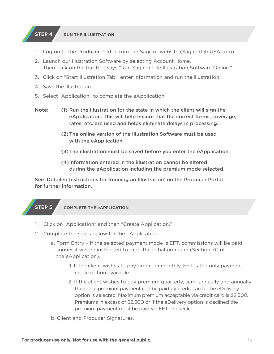#### **STEP 4 RUN THE ILLUSTRATION**

- 1. Log on to the Producer Portal from the Sagicor website (SagicorLifeUSA.com).
- 2. Launch our Illustration Software by selecting Account Home. Then click on the bar that says "Run Sagicor Life Illustration Software Online."
- 3. Click on "Start Illustration Tab", enter information and run the illustration.
- 4. Save the illustration.
- 5. Select "Application" to complete the eApplication.
- (1) Run the illustration for the state in which the client will sign the eApplication. This will help ensure that the correct forms, coverage, rates, etc. are used and helps eliminate delays in processing. **Note:**
	- (2)The online version of the Illustration Software must be used with the eApplication.
	- (3)The illustration must be saved before you enter the eApplication.
	- (4)Information entered in the illustration cannot be altered during the eApplication including the premium mode selected.

See 'Detailed Instructions for Running an Illustration' on the Producer Portal for further information.

### **STEP 5 COMPLETE THE eAPPLICATION**

- 1. Click on "Application" and then "Create Application."
- 2. Complete the steps below for the eApplication:
	- a. Form Entry If the selected payment mode is EFT, commissions will be paid sooner if we are instructed to draft the initial premium (Section 7C of the eApplication).
		- 1. If the client wishes to pay premium monthly, EFT is the only payment mode option available.
		- 2. If the client wishes to pay premium quarterly, semi-annually and annually the initial premium payment can be paid by credit card if the eDelivery option is selected. Maximum premium acceptable via credit card is \$2,500. Premiums in excess of \$2,500 or if the eDelivery option is declined the premium payment must be paid via EFT or check.
	- b. Client and Producer Signatures.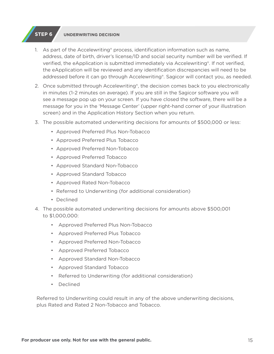#### **STEP 6 UNDERWRITING DECISION**

- 1. As part of the Accelewriting® process, identification information such as name, address, date of birth, driver's license/ID and social security number will be verified. If verified, the eApplication is submitted immediately via Accelewriting®. If not verified, the eApplication will be reviewed and any identification discrepancies will need to be addressed before it can go through Accelewriting®. Sagicor will contact you, as needed.
- 2. Once submitted through Accelewriting®, the decision comes back to you electronically in minutes (1-2 minutes on average). If you are still in the Sagicor software you will see a message pop up on your screen. If you have closed the software, there will be a message for you in the 'Message Center' (upper right-hand corner of your illustration screen) and in the Application History Section when you return.
- 3. The possible automated underwriting decisions for amounts of \$500,000 or less:
	- Approved Preferred Plus Non-Tobacco
	- Approved Preferred Plus Tobacco
	- Approved Preferred Non-Tobacco
	- Approved Preferred Tobacco
	- Approved Standard Non-Tobacco
	- Approved Standard Tobacco
	- Approved Rated Non-Tobacco
	- Referred to Underwriting (for additional consideration)
	- Declined
- 4. The possible automated underwriting decisions for amounts above \$500,001 to \$1,000,000:
	- Approved Preferred Plus Non-Tobacco
	- Approved Preferred Plus Tobacco
	- Approved Preferred Non-Tobacco
	- Approved Preferred Tobacco
	- Approved Standard Non-Tobacco
	- Approved Standard Tobacco
	- Referred to Underwriting (for additional consideration)
	- Declined

Referred to Underwriting could result in any of the above underwriting decisions, plus Rated and Rated 2 Non-Tobacco and Tobacco.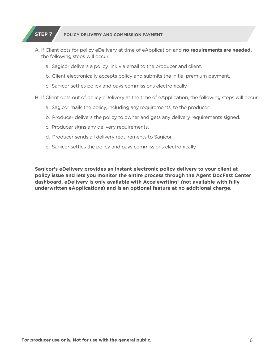### **STEP 7 POLICY DELIVERY AND COMMISSION PAYMENT**

- A. If Client opts for policy eDelivery at time of eApplication and **no requirements are needed,** the following steps will occur:
	- a. Sagicor delivers a policy link via email to the producer and client.
	- b. Client electronically accepts policy and submits the initial premium payment.
	- c. Sagicor settles policy and pays commissions electronically.
- B. If Client opts out of policy eDelivery at the time of eApplication, the following steps will occur:
	- a. Sagicor mails the policy, including any requirements, to the producer.
	- b. Producer delivers the policy to owner and gets any delivery requirements signed.
	- c. Producer signs any delivery requirements.
	- d. Producer sends all delivery requirements to Sagicor.
	- e. Sagicor settles the policy and pays commissions electronically.

**Sagicor's eDelivery provides an instant electronic policy delivery to your client at policy issue and lets you monitor the entire process through the Agent DocFast Center dashboard. eDelivery is only available with Accelewriting**® **(not available with fully underwritten eApplications) and is an optional feature at no additional charge.**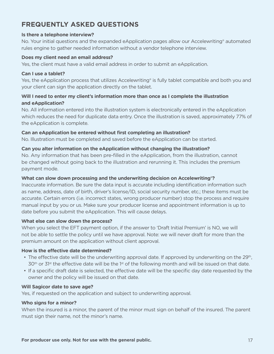### **FREQUENTLY ASKED QUESTIONS**

#### **Is there a telephone interview?**

No. Your initial questions and the expanded eApplication pages allow our Accelewriting® automated rules engine to gather needed information without a vendor telephone interview.

#### **Does my client need an email address?**

Yes, the client must have a valid email address in order to submit an eApplication.

#### **Can I use a tablet?**

Yes, the eApplication process that utilizes Accelewriting® is fully tablet compatible and both you and your client can sign the application directly on the tablet.

### **Will I need to enter my client's information more than once as I complete the illustration and eApplication?**

No. All information entered into the illustration system is electronically entered in the eApplication which reduces the need for duplicate data entry. Once the illustration is saved, approximately 77% of the eApplication is complete.

#### **Can an eApplication be entered without first completing an illustration?**

No. Illustration must be completed and saved before the eApplication can be started.

#### **Can you alter information on the eApplication without changing the illustration?**

No. Any information that has been pre-filled in the eApplication, from the illustration, cannot be changed without going back to the illustration and rerunning it. This includes the premium payment mode.

#### **What can slow down processing and the underwriting decision on Accelewriting®?**

Inaccurate information. Be sure the data input is accurate including identification information such as name, address, date of birth, driver's license/ID, social security number, etc.; these items must be accurate. Certain errors (i.e. incorrect states, wrong producer number) stop the process and require manual input by you or us. Make sure your producer license and appointment information is up to date before you submit the eApplication. This will cause delays.

#### **What else can slow down the process?**

When you select the EFT payment option, if the answer to 'Draft Initial Premium' is NO, we will not be able to settle the policy until we have approval. Note: we will never draft for more than the premium amount on the application without client approval.

#### **How is the effective date determined?**

- The effective date will be the underwriting approval date. If approved by underwriting on the 29<sup>th</sup>,  $30<sup>th</sup>$  or  $31<sup>st</sup>$  the effective date will be the 1<sup>st</sup> of the following month and will be issued on that date.
- If a specific draft date is selected, the effective date will be the specific day date requested by the owner and the policy will be issued on that date.

#### **Will Sagicor date to save age?**

Yes, if requested on the application and subject to underwriting approval.

#### **Who signs for a minor?**

When the insured is a minor, the parent of the minor must sign on behalf of the insured. The parent must sign their name, not the minor's name.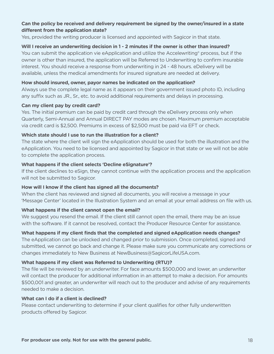#### **Can the policy be received and delivery requirement be signed by the owner/insured in a state different from the application state?**

Yes, provided the writing producer is licensed and appointed with Sagicor in that state.

#### **Will I receive an underwriting decision in 1 - 2 minutes if the owner is other than insured?**

You can submit the application vie eApplication and utilize the Accelewriting® process, but if the owner is other than insured, the application will be Referred to Underwriting to confirm insurable interest. You should receive a response from underwriting in 24 - 48 hours. eDelivery will be available, unless the medical amendments for insured signature are needed at delivery.

#### **How should insured, owner, payor names be indicated on the application?**

Always use the complete legal name as it appears on their government issued photo ID, including any suffix such as JR., Sr., etc. to avoid additional requirements and delays in processing.

#### **Can my client pay by credit card?**

Yes. The initial premium can be paid by credit card through the eDelivery process only when Quarterly, Semi-Annual and Annual DIRECT PAY modes are chosen. Maximum premium acceptable via credit card is \$2,500. Premiums in excess of \$2,500 must be paid via EFT or check.

#### **Which state should I use to run the illustration for a client?**

The state where the client will sign the eApplication should be used for both the illustration and the eApplication. You need to be licensed and appointed by Sagicor in that state or we will not be able to complete the application process.

#### **What happens if the client selects 'Decline eSignature'?**

If the client declines to eSign, they cannot continue with the application process and the application will not be submitted to Sagicor.

#### **How will I know if the client has signed all the documents?**

When the client has reviewed and signed all documents, you will receive a message in your 'Message Center' located in the Illustration System and an email at your email address on file with us.

#### **What happens if the client cannot open the email?**

We suggest you resend the email. If the client still cannot open the email, there may be an issue with the software. If it cannot be resolved, contact the Producer Resource Center for assistance.

#### **What happens if my client finds that the completed and signed eApplication needs changes?**

The eApplication can be unlocked and changed prior to submission. Once completed, signed and submitted, we cannot go back and change it. Please make sure you communicate any corrections or changes immediately to New Business at NewBusiness@SagicorLifeUSA.com.

#### **What happens if my client was Referred to Underwriting (RTU)?**

The file will be reviewed by an underwriter. For face amounts \$500,000 and lower, an underwriter will contact the producer for additional information in an attempt to make a decision. For amounts \$500,001 and greater, an underwriter will reach out to the producer and advise of any requirements needed to make a decision.

#### **What can I do if a client is declined?**

Please contact underwriting to determine if your client qualifies for other fully underwritten products offered by Sagicor.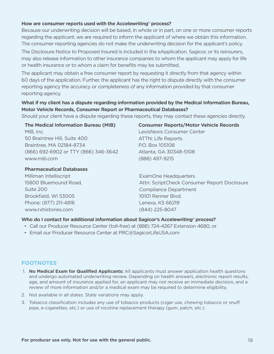#### **How are consumer reports used with the Accelewriting® process?**

Because our underwriting decision will be based, in whole or in part, on one or more consumer reports regarding the applicant, we are required to inform the applicant of where we obtain this information. The consumer reporting agencies do not make the underwriting decision for the applicant's policy.

The Disclosure Notice to Proposed Insured is included in the eApplication. Sagicor, or its reinsurers, may also release information to other insurance companies to whom the applicant may apply for life or health insurance or to whom a claim for benefits may be submitted.

The applicant may obtain a free consumer report by requesting it directly from that agency within 60 days of the application. Further, the applicant has the right to dispute directly with the consumer reporting agency the accuracy or completeness of any information provided by that consumer reporting agency.

#### **What if my client has a dispute regarding information provided by the Medical Information Bureau, Motor Vehicle Records, Consumer Report or Pharmaceutical Databases?**

Should your client have a dispute regarding these reports, they may contact these agencies directly.

| The Medical Information Bureau (MIB) |
|--------------------------------------|
| MIB, Inc.                            |
| 50 Braintree Hill, Suite 400         |
| Braintree, MA 02184-8734             |
| (866) 692-6902 or TTY (866) 346-3642 |
| www.mib.com                          |

#### **Pharmaceutical Databases**

Milliman Intelliscript 15800 Bluemound Road, Suite 200 Brookfield, WI 53005 Phone: (877) 211-4816 www.rxhistories.com

### **Consumer Reports/Motor Vehicle Records** LexisNexis Consumer Center ATTN: Life Reports P.O. Box 105108 Atlanta, GA 30348-5108 (888) 497-9215

ExamOne Headquarters Attn: ScriptCheck Consumer Report Disclosure Compliance Department 10101 Renner Blvd. Lenexa, KS 66219 (844) 225-8047

#### **Who do I contact for additional information about Sagicor's Accelewriting® process?**

- Call our Producer Resource Center (toll-free) at (888) 724-4267 Extension 4680, or
- Email our Producer Resource Center at PRC@SagicorLifeUSA.com

#### **FOOTNOTES**

- 1. **No Medical Exam for Qualified Applicants:** All applicants must answer application health questions and undergo automated underwriting review. Depending on health answers, electronic report results, age, and amount of insurance applied for, an applicant may not receive an immediate decision, and a review of more information and/or a medical exam may be required to determine eligibility.
- 2. Not available in all states. State variations may apply.
- 3. Tobacco classification includes any use of tobacco products (cigar use, chewing tobacco or snuff, pipe, e-cigarettes, etc.) or use of nicotine replacement therapy (gum, patch, etc.).